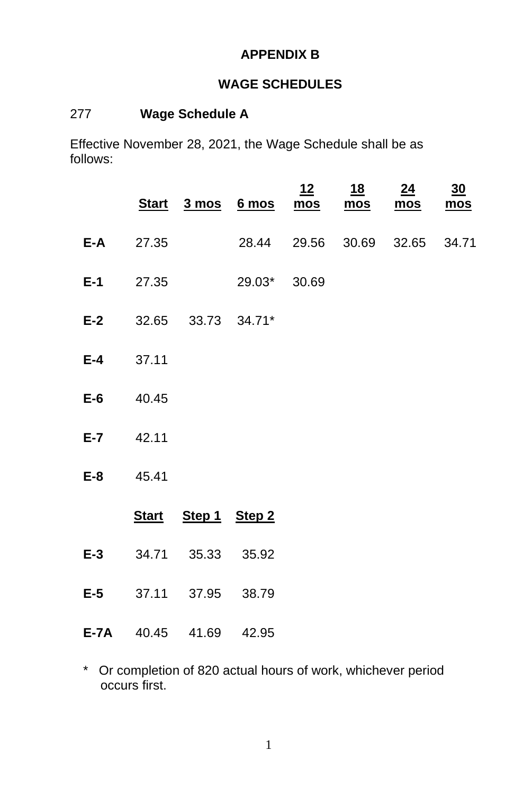# **APPENDIX B**

# **WAGE SCHEDULES**

## 277 **Wage Schedule A**

Effective November 28, 2021, the Wage Schedule shall be as follows:

|               |                               | <u>Start 3 mos 6 mos mos mos</u> | 12 | <u>18</u> | 24<br><u>mos</u> | 30<br>mos |
|---------------|-------------------------------|----------------------------------|----|-----------|------------------|-----------|
| $E-A$ 27.35   |                               | 28.44 29.56 30.69 32.65 34.71    |    |           |                  |           |
|               |                               | <b>E-1</b> 27.35 29.03* 30.69    |    |           |                  |           |
|               | E-2 32.65 33.73 34.71*        |                                  |    |           |                  |           |
| $E-4$ 37.11   |                               |                                  |    |           |                  |           |
| $E-6$ 40.45   |                               |                                  |    |           |                  |           |
| $E - 7$ 42.11 |                               |                                  |    |           |                  |           |
| E-8 45.41     |                               |                                  |    |           |                  |           |
|               | Start Step 1 Step 2           |                                  |    |           |                  |           |
|               | E-3 34.71 35.33 35.92         |                                  |    |           |                  |           |
|               | E-5 37.11 37.95 38.79         |                                  |    |           |                  |           |
|               | <b>E-7A</b> 40.45 41.69 42.95 |                                  |    |           |                  |           |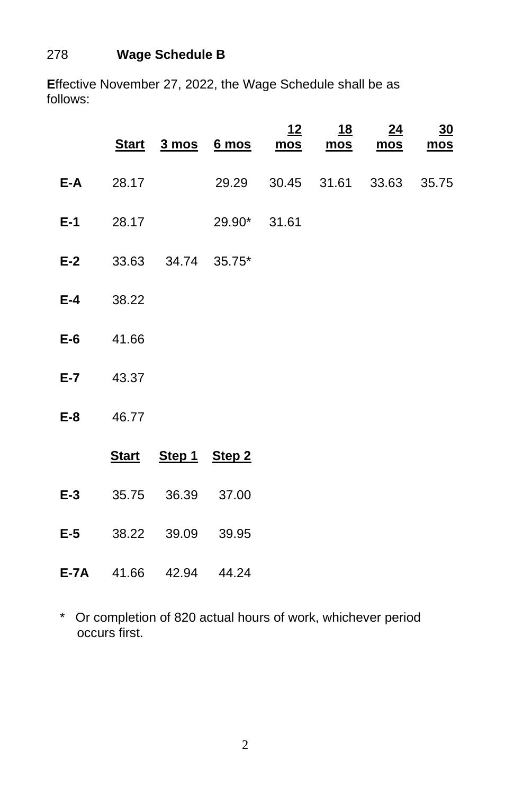# 278 **Wage Schedule B**

**E**ffective November 27, 2022, the Wage Schedule shall be as follows:

|       |                  |                        | Start 3 mos 6 mos mos         | <u> 12</u> | <u>18</u><br>mos | 24<br>$mos$ | $\underline{30}$<br>mos |
|-------|------------------|------------------------|-------------------------------|------------|------------------|-------------|-------------------------|
|       | $E-A$ 28.17      |                        | 29.29 30.45 31.61 33.63 35.75 |            |                  |             |                         |
|       |                  |                        | <b>E-1</b> 28.17 29.90* 31.61 |            |                  |             |                         |
|       |                  | E-2 33.63 34.74 35.75* |                               |            |                  |             |                         |
|       | $E-4$ 38.22      |                        |                               |            |                  |             |                         |
|       | E-6 41.66        |                        |                               |            |                  |             |                         |
|       | <b>E-7</b> 43.37 |                        |                               |            |                  |             |                         |
|       | E-8 46.77        |                        |                               |            |                  |             |                         |
|       |                  | Start Step 1 Step 2    |                               |            |                  |             |                         |
| $E-3$ |                  | 35.75 36.39 37.00      |                               |            |                  |             |                         |
|       |                  | E-5 38.22 39.09 39.95  |                               |            |                  |             |                         |
|       |                  | E-7A 41.66 42.94 44.24 |                               |            |                  |             |                         |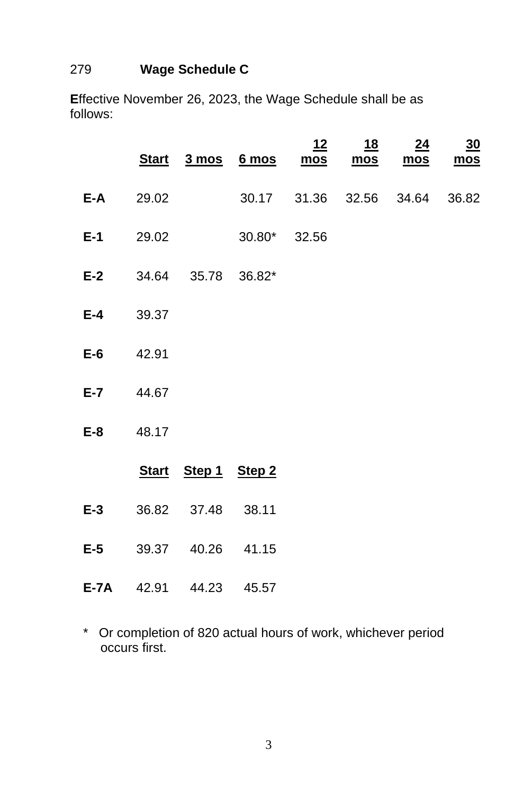#### 279 **Wage Schedule C**

**E**ffective November 26, 2023, the Wage Schedule shall be as follows:

|                  |                  |                        | Start 3 mos 6 mos mos    | 12 | <u>18</u><br><u>mos</u> | 24 | $\frac{30}{2}$<br>mos mos |
|------------------|------------------|------------------------|--------------------------|----|-------------------------|----|---------------------------|
|                  | $E-A$ 29.02      |                        | 30.17 31.36 32.56 34.64  |    |                         |    | 36.82                     |
|                  |                  |                        | $E-1$ 29.02 30.80* 32.56 |    |                         |    |                           |
|                  |                  | E-2 34.64 35.78 36.82* |                          |    |                         |    |                           |
| <b>E-4</b> 39.37 |                  |                        |                          |    |                         |    |                           |
| $E-6$ 42.91      |                  |                        |                          |    |                         |    |                           |
|                  | <b>E-7</b> 44.67 |                        |                          |    |                         |    |                           |
|                  | E-8 48.17        |                        |                          |    |                         |    |                           |
|                  |                  | Start Step 1 Step 2    |                          |    |                         |    |                           |
| $E-3$            |                  | 36.82 37.48 38.11      |                          |    |                         |    |                           |
|                  |                  | E-5 39.37 40.26 41.15  |                          |    |                         |    |                           |
|                  |                  | E-7A 42.91 44.23 45.57 |                          |    |                         |    |                           |